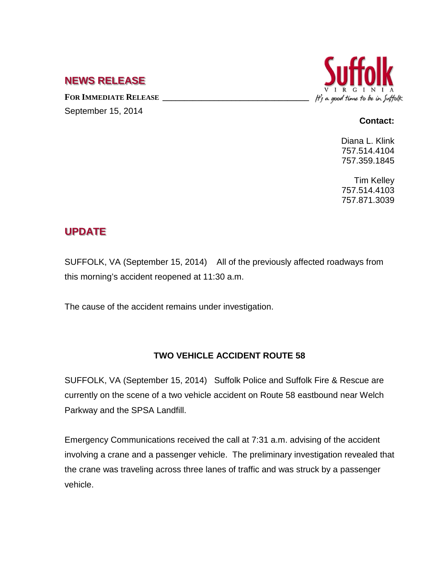## **NEWS RELEASE**

FOR **IMMEDIATE RELEASE** September 15, 2014



## **Contact:**

Diana L. Klink 757.514.4104 757.359.1845

Tim Kelley 757.514.4103 757.871.3039

## **UPDATE**

SUFFOLK, VA (September 15, 2014) All of the previously affected roadways from this morning's accident reopened at 11:30 a.m.

The cause of the accident remains under investigation.

## **TWO VEHICLE ACCIDENT ROUTE 58**

SUFFOLK, VA (September 15, 2014) Suffolk Police and Suffolk Fire & Rescue are currently on the scene of a two vehicle accident on Route 58 eastbound near Welch Parkway and the SPSA Landfill.

Emergency Communications received the call at 7:31 a.m. advising of the accident involving a crane and a passenger vehicle. The preliminary investigation revealed that the crane was traveling across three lanes of traffic and was struck by a passenger vehicle.